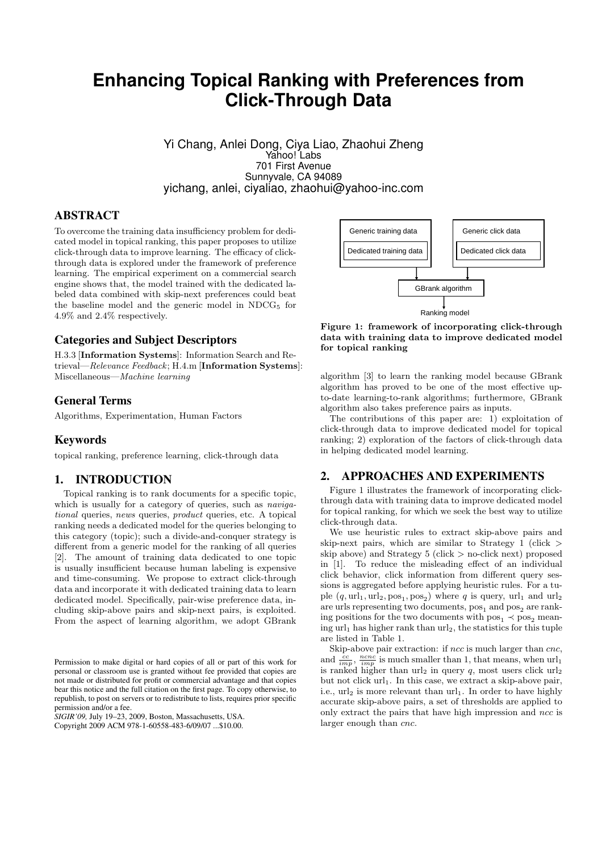# **Enhancing Topical Ranking with Preferences from Click-Through Data**

Yi Chang, Anlei Dong, Ciya Liao, Zhaohui Zheng Yahoo! Labs 701 First Avenue Sunnyvale, CA 94089 yichang, anlei, ciyaliao, zhaohui@yahoo-inc.com

## ABSTRACT

To overcome the training data insufficiency problem for dedicated model in topical ranking, this paper proposes to utilize click-through data to improve learning. The efficacy of clickthrough data is explored under the framework of preference learning. The empirical experiment on a commercial search engine shows that, the model trained with the dedicated labeled data combined with skip-next preferences could beat the baseline model and the generic model in  $NDCG<sub>5</sub>$  for 4.9% and 2.4% respectively.

## Categories and Subject Descriptors

H.3.3 [Information Systems]: Information Search and Retrieval—Relevance Feedback; H.4.m [Information Systems]: Miscellaneous—Machine learning

## General Terms

Algorithms, Experimentation, Human Factors

## Keywords

topical ranking, preference learning, click-through data

## 1. INTRODUCTION

Topical ranking is to rank documents for a specific topic, which is usually for a category of queries, such as *naviga*tional queries, news queries, product queries, etc. A topical ranking needs a dedicated model for the queries belonging to this category (topic); such a divide-and-conquer strategy is different from a generic model for the ranking of all queries [2]. The amount of training data dedicated to one topic is usually insufficient because human labeling is expensive and time-consuming. We propose to extract click-through data and incorporate it with dedicated training data to learn dedicated model. Specifically, pair-wise preference data, including skip-above pairs and skip-next pairs, is exploited. From the aspect of learning algorithm, we adopt GBrank To convent the minimizer of the controller in the same of the same of the same of the same of the same of the same of the same of the same of the same of the same of the same of the same of the same of the same of the sam

*SIGIR'09,* July 19–23, 2009, Boston, Massachusetts, USA.



Figure 1: framework of incorporating click-through data with training data to improve dedicated model for topical ranking

algorithm [3] to learn the ranking model because GBrank algorithm has proved to be one of the most effective upto-date learning-to-rank algorithms; furthermore, GBrank algorithm also takes preference pairs as inputs.

The contributions of this paper are: 1) exploitation of click-through data to improve dedicated model for topical ranking; 2) exploration of the factors of click-through data in helping dedicated model learning.

#### 2. APPROACHES AND EXPERIMENTS

Figure 1 illustrates the framework of incorporating clickthrough data with training data to improve dedicated model for topical ranking, for which we seek the best way to utilize click-through data.

We use heuristic rules to extract skip-above pairs and skip-next pairs, which are similar to Strategy 1 (click > skip above) and Strategy  $5$  (click  $>$  no-click next) proposed in [1]. To reduce the misleading effect of an individual click behavior, click information from different query sessions is aggregated before applying heuristic rules. For a tuple  $(q, \text{url}_1, \text{url}_2, \text{pos}_1, \text{pos}_2)$  where q is query,  $\text{url}_1$  and  $\text{url}_2$ are urls representing two documents,  $pos_1$  and  $pos_2$  are ranking positions for the two documents with  $pos_1 \prec pos_2$  meaning  $url_1$  has higher rank than  $url_2$ , the statistics for this tuple are listed in Table 1.

Skip-above pair extraction: if ncc is much larger than cnc, and  $\frac{cc}{imp}$ ,  $\frac{ncnc}{imp}$  is much smaller than 1, that means, when  $url_1$ is ranked higher than  $\text{url}_2$  in query q, most users click  $\text{url}_2$ but not click  $url_1$ . In this case, we extract a skip-above pair, i.e.,  $\text{url}_2$  is more relevant than  $\text{url}_1$ . In order to have highly accurate skip-above pairs, a set of thresholds are applied to only extract the pairs that have high impression and ncc is larger enough than cnc.

Permission to make digital or hard copies of all or part of this work for personal or classroom use is granted without fee provided that copies are not made or distributed for profit or commercial advantage and that copies bear this notice and the full citation on the first page. To copy otherwise, to republish, to post on servers or to redistribute to lists, requires prior specific permission and/or a fee.